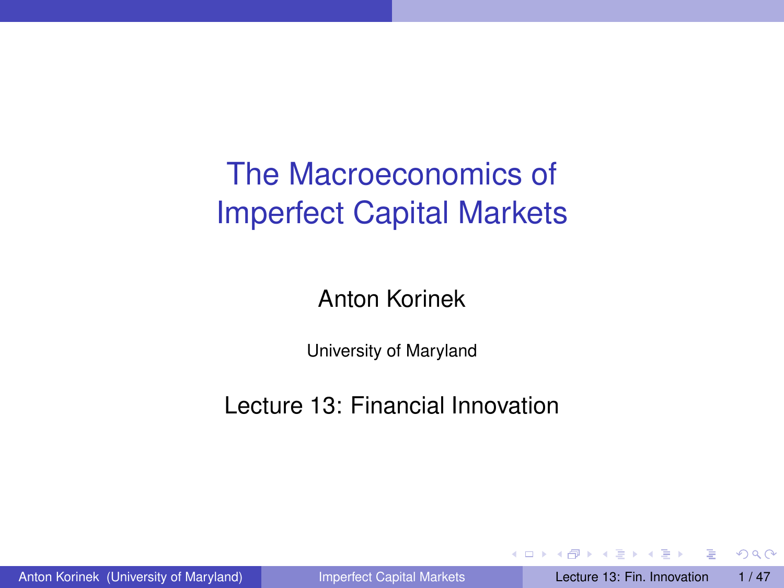# The Macroeconomics of Imperfect Capital Markets

Anton Korinek

University of Maryland

Lecture 13: Financial Innovation

<span id="page-0-0"></span> $QQ$ 

 $\rightarrow$   $\rightarrow$   $\rightarrow$   $\rightarrow$   $\rightarrow$ 

4 0 8  $\leftarrow$   $\leftarrow$   $\leftarrow$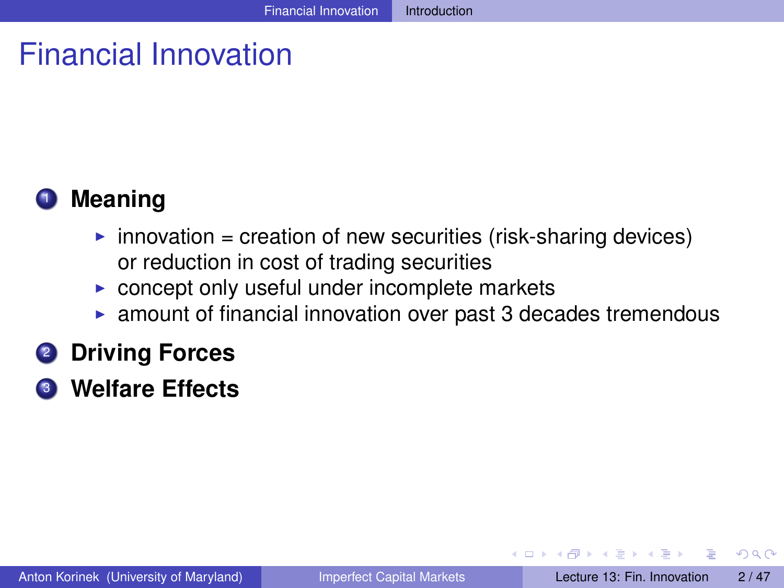# Financial Innovation



- $\triangleright$  innovation = creation of new securities (risk-sharing devices) or reduction in cost of trading securities
- $\triangleright$  concept only useful under incomplete markets
- $\triangleright$  amount of financial innovation over past 3 decades tremendous
- <sup>2</sup> **Driving Forces**
- <sup>3</sup> **Welfare Effects**

<span id="page-1-0"></span> $\Omega$ 

化重压 不重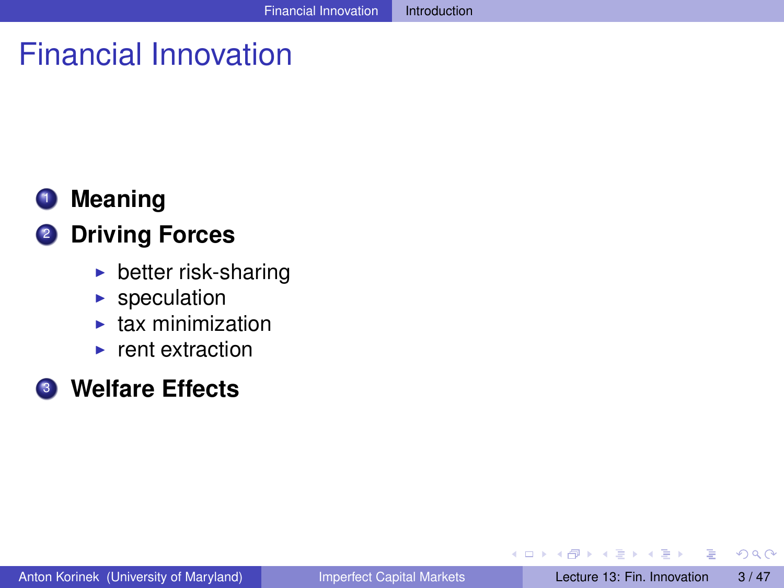# Financial Innovation

## **1** Meaning

#### <sup>2</sup> **Driving Forces**

- $\blacktriangleright$  better risk-sharing
- $\blacktriangleright$  speculation
- $\blacktriangleright$  tax minimization
- $\blacktriangleright$  rent extraction

#### <sup>3</sup> **Welfare Effects**

<span id="page-2-0"></span> $\Omega$ 

The South The

 $\sim$ 

4.000.00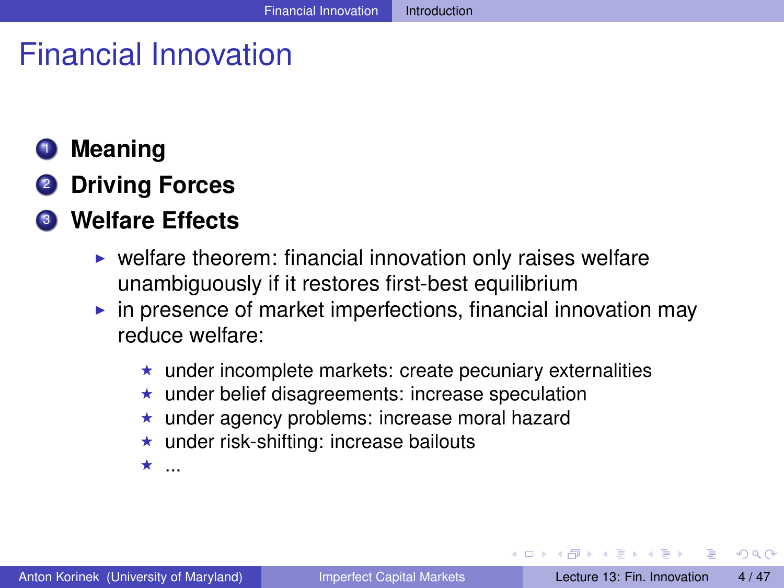# Financial Innovation

## <sup>1</sup> **Meaning**

<sup>2</sup> **Driving Forces**

## <sup>3</sup> **Welfare Effects**

- $\triangleright$  welfare theorem: financial innovation only raises welfare unambiguously if it restores first-best equilibrium
- $\triangleright$  in presence of market imperfections, financial innovation may reduce welfare:
	- $\star$  under incomplete markets: create pecuniary externalities
	- $\star$  under belief disagreements: increase speculation
	- under agency problems: increase moral hazard
	- $\star$  under risk-shifting: increase bailouts
	- $\star$  .

<span id="page-3-0"></span> $\Omega$ 

 $\mathcal{A}$  and  $\mathcal{A}$  in the set of  $\mathbb{R}$  is  $\mathcal{A}$  . The set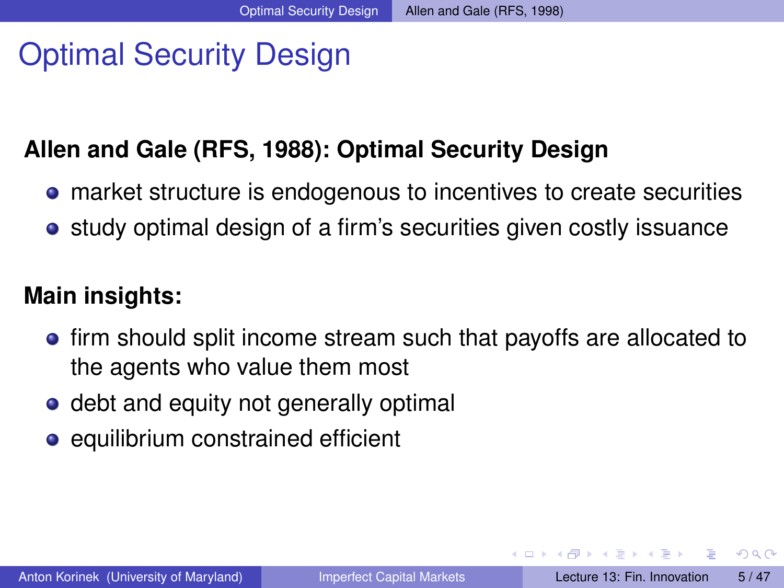# Optimal Security Design

#### **Allen and Gale (RFS, 1988): Optimal Security Design**

- market structure is endogenous to incentives to create securities
- **•** study optimal design of a firm's securities given costly issuance

#### **Main insights:**

- **•** firm should split income stream such that payoffs are allocated to the agents who value them most
- debt and equity not generally optimal
- equilibrium constrained efficient

<span id="page-4-0"></span> $\Omega$ 

イロト イ押 トイラト イラト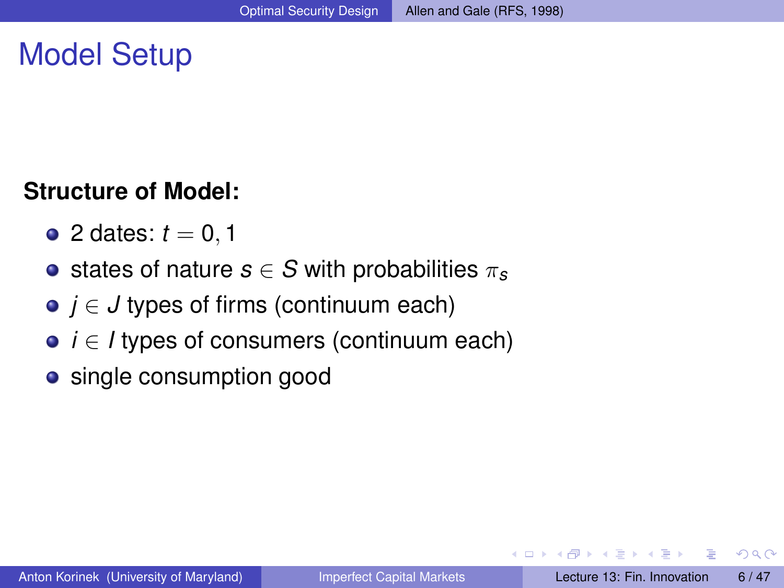## Model Setup

#### **Structure of Model:**

- 2 dates:  $t = 0, 1$
- **•** states of nature  $s \in S$  with probabilities  $\pi_s$
- *j* ∈ *J* types of firms (continuum each)
- **•** *i* ∈ *l* types of consumers (continuum each)
- single consumption good

<span id="page-5-0"></span> $\Omega$ 

 $\mathcal{A}$  and  $\mathcal{A}$  in the set of  $\mathbb{R}$  is  $\mathcal{A}$  . The set

a miller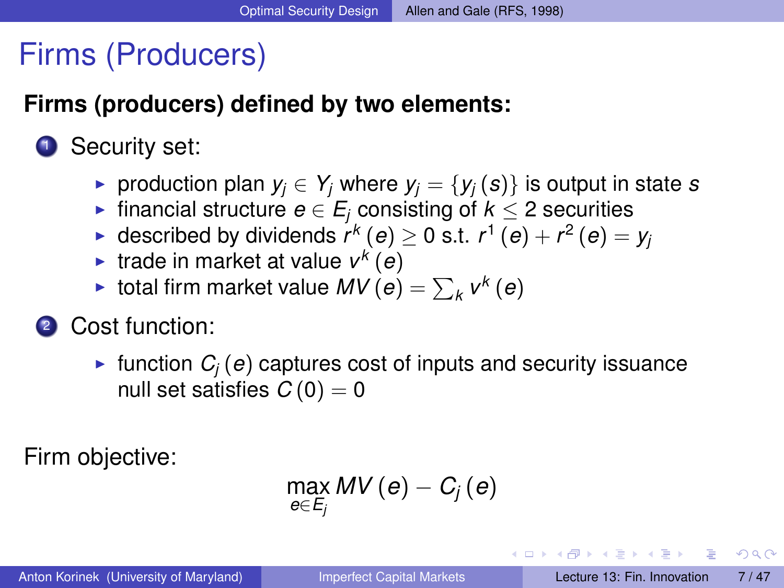## Firms (Producers)

#### **Firms (producers) defined by two elements:**

## **1** Security set:

- ▶ production plan  $y_i$  ∈  $Y_i$  where  $y_i = \{y_i(s)\}\$ is output in state *s*
- $\triangleright$  financial structure *e* ∈ *E<sub>i</sub>* consisting of *k* < 2 securities
- ► described by dividends  $r^k$   $(e) \geq 0$  s.t.  $r^1$   $(e) + r^2$   $(e) = y$
- $\blacktriangleright$  trade in market at value  $v^k(e)$
- $\blacktriangleright$  total firm market value  $MV(e) = \sum_{k} v^{k}(e)$
- <sup>2</sup> Cost function:
	- In function  $C_i(e)$  captures cost of inputs and security issuance null set satisfies  $C(0) = 0$

Firm objective:

$$
\max_{e\in E_j} MV\left(e\right)-C_j\left(e\right)
$$

<span id="page-6-0"></span> $\Omega$ 

イロト イ押ト イヨト イヨト ニヨ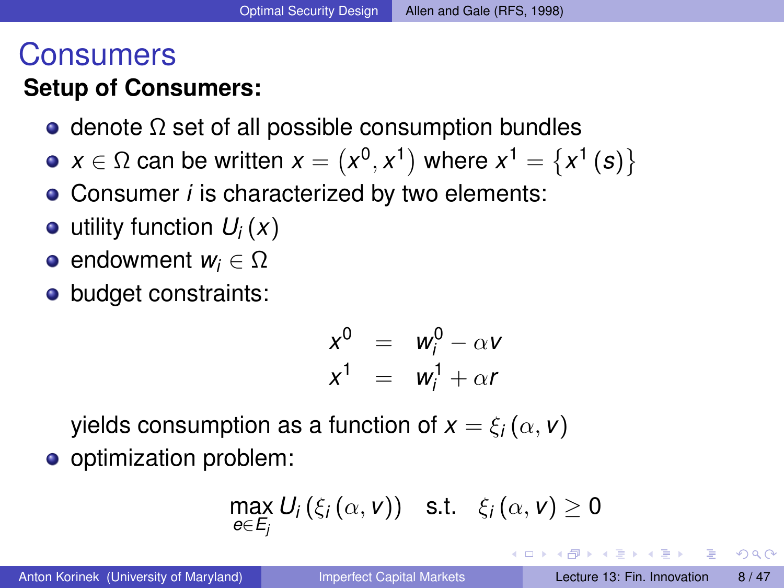## Consumers

## **Setup of Consumers:**

- $\bullet$  denote  $\Omega$  set of all possible consumption bundles
- $x \in Ω$  can be written  $x = (x^0, x^1)$  where  $x^1 = \{x^1(\boldsymbol{s})\}$
- Consumer *i* is characterized by two elements:
- $\bullet$  utility function  $U_i(x)$
- endowment *w<sup>i</sup>* ∈ Ω
- budget constraints:

$$
x^{0} = w_{i}^{0} - \alpha v
$$
  

$$
x^{1} = w_{i}^{1} + \alpha r
$$

yields consumption as a function of  $x = \xi_i(\alpha, v)$ 

o optimization problem:

$$
\max_{e \in E_j} U_i(\xi_i(\alpha, v)) \quad \text{s.t.} \quad \xi_i(\alpha, v) \geq 0
$$

<span id="page-7-0"></span> $\Omega$ 

イロト イ押ト イヨト イヨトー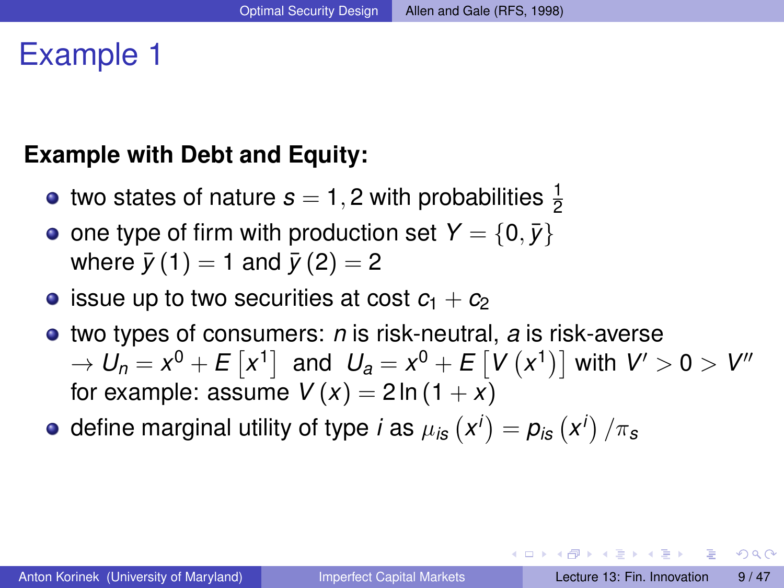## Example 1

#### **Example with Debt and Equity:**

- two states of nature  $s=1,2$  with probabilities  $\frac{1}{2}$
- one type of firm with production set  $Y = \{0, \bar{y}\}\$ where  $\bar{y}(1) = 1$  and  $\bar{y}(2) = 2$
- **•** issue up to two securities at cost  $c_1 + c_2$
- two types of consumers: *n* is risk-neutral, *a* is risk-averse  $\rightarrow$   $U_n = x^0 + E\left[ x^1 \right]$  and  $U_a = x^0 + E\left[ V\left( x^1 \right) \right]$  with  $V' > 0 > V''$ for example: assume  $V(x) = 2 \ln(1 + x)$
- define marginal utility of type *i* as  $\mu_{i\mathbf{s}}\left(\mathbf{x}^{i}\right)=\pmb{p}_{i\mathbf{s}}\left(\mathbf{x}^{i}\right)/\pi_{\mathbf{s}}$

<span id="page-8-0"></span> $\Omega$ 

イロト イ押ト イヨト イヨト ニヨ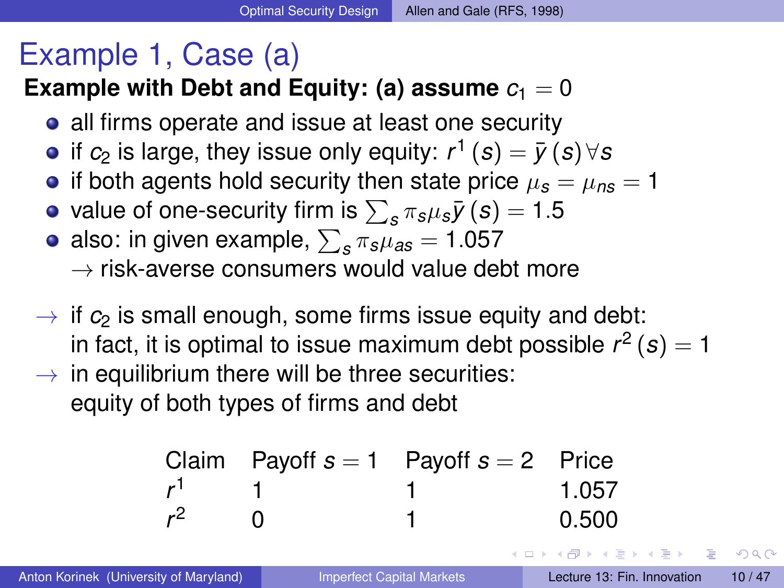# Example 1, Case (a)

## **Example with Debt and Equity: (a) assume**  $c_1 = 0$

- all firms operate and issue at least one security
- if  $c_2$  is large, they issue only equity:  $r^1\left( s \right) = \bar y\left( s \right) \forall s$
- if both agents hold security then state price  $\mu_s = \mu_{ns} = 1$
- value of one-security firm is  $\sum_{\bm{s}} \pi_{\bm{s}} \mu_{\bm{s}} \bar{\bm{y}}\left(\bm{s}\right) = 1.5$
- also: in given example,  $\sum_{\bm{s}}\pi_{\bm{s}}\mu_{\bm{a}\bm{s}}=1.057$  $\rightarrow$  risk-averse consumers would value debt more
- $\rightarrow$  if  $c_2$  is small enough, some firms issue equity and debt: in fact, it is optimal to issue maximum debt possible  $r^2\left( s \right) = 1$
- $\rightarrow$  in equilibrium there will be three securities: equity of both types of firms and debt

|       | Claim Payoff $s = 1$ Payoff $s = 2$ Price |                 |
|-------|-------------------------------------------|-----------------|
|       |                                           | 1.057           |
| $r^2$ |                                           | 0.500           |
|       |                                           | メロトメ部 トメミトメミトーズ |

<span id="page-9-0"></span> $\Omega$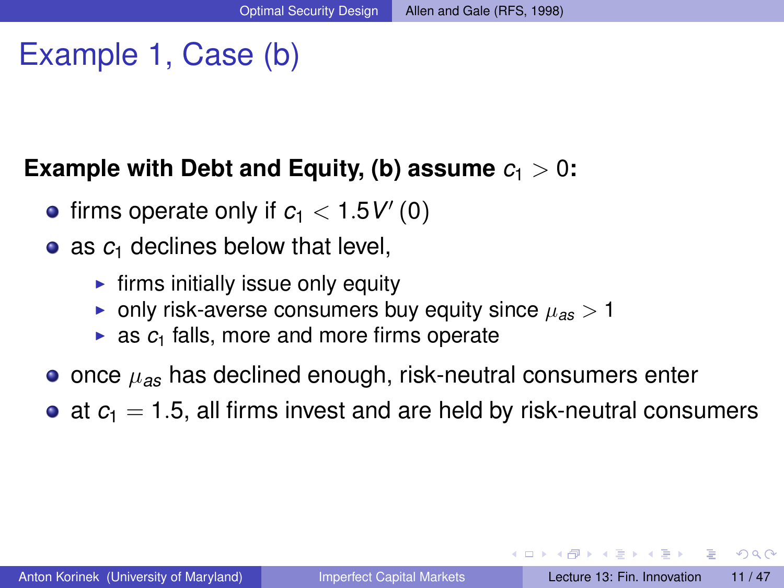# Example 1, Case (b)

#### **Example with Debt and Equity, (b) assume**  $c_1 > 0$ :

- firms operate only if  $c_1 < 1.5$   $V'(0)$
- as  $c_1$  declines below that level,
	- $\blacktriangleright$  firms initially issue only equity
	- **•** only risk-averse consumers buy equity since  $\mu_{as} > 1$
	- $\triangleright$  as  $c_1$  falls, more and more firms operate
- once  $\mu_{as}$  has declined enough, risk-neutral consumers enter
- $\bullet$  at  $c_1 = 1.5$ , all firms invest and are held by risk-neutral consumers

<span id="page-10-0"></span> $\Omega$ 

イロメ イ何 メラモ メラメー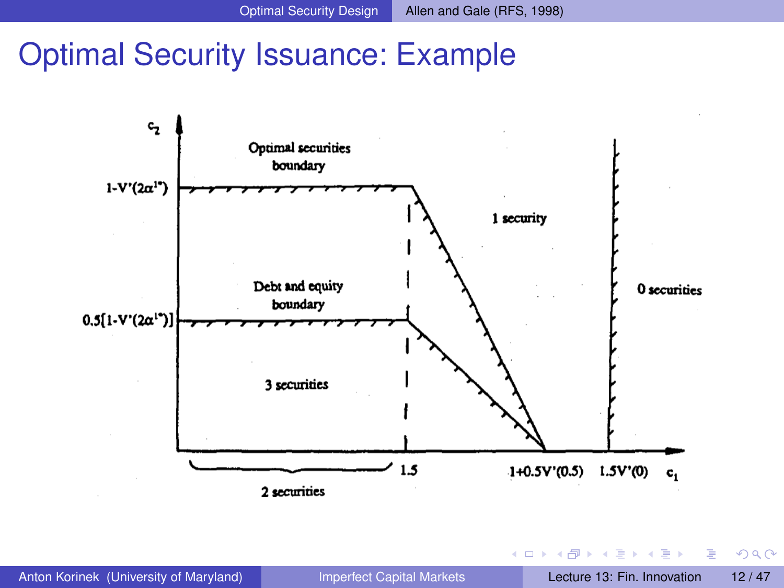## Optimal Security Issuance: Example



<span id="page-11-0"></span> $QQ$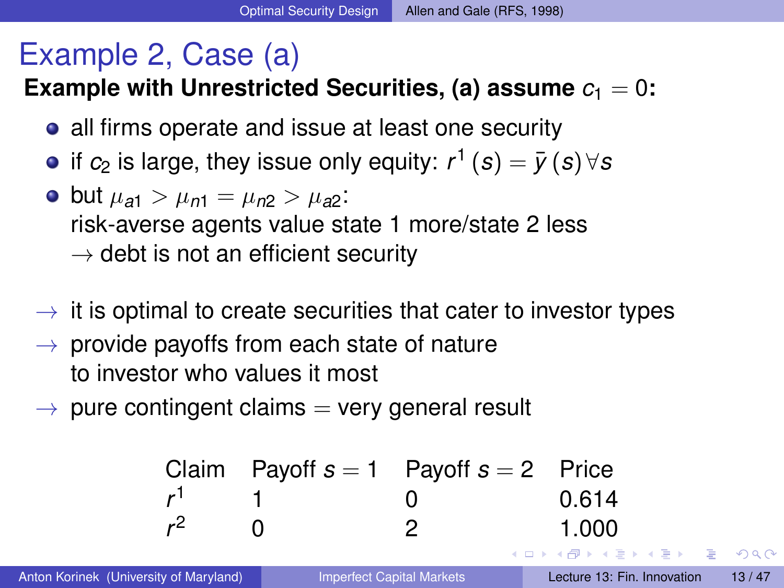# Example 2, Case (a)

**Example with Unrestricted Securities, (a) assume**  $c_1 = 0$ **:** 

- all firms operate and issue at least one security
- if  $c_2$  is large, they issue only equity:  $r^1\left( s \right)=\bar y\left( s \right) \forall s$
- $\bullet$  but  $\mu_{a1} > \mu_{n1} = \mu_{n2} > \mu_{a2}$ : risk-averse agents value state 1 more/state 2 less  $\rightarrow$  debt is not an efficient security
- $\rightarrow$  it is optimal to create securities that cater to investor types
- $\rightarrow$  provide payoffs from each state of nature to investor who values it most
- <span id="page-12-0"></span> $\rightarrow$  pure contingent claims  $=$  very general result

| Claim | Payoff | s = 1 | Payoff | s = 2 | Price |
|-------|--------|-------|--------|-------|-------|
| $r^1$ | 1      | 0     | 0.614  |       |       |
| $r^2$ | 0      | 2     | 1.000  |       |       |

\nAnton Korinek (University of Maryland)

\n

| Apperfect Capital Markets | Leture 13: Fin. Innovation | 13/47 |
|---------------------------|----------------------------|-------|
|---------------------------|----------------------------|-------|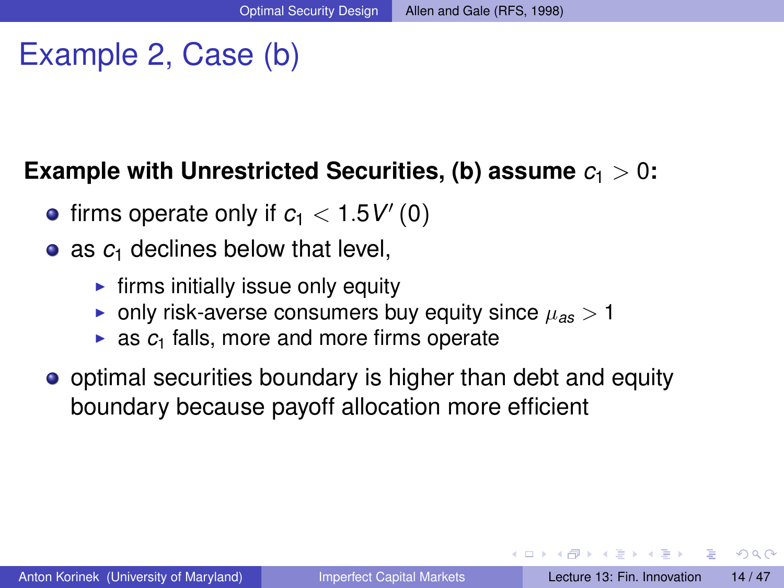# Example 2, Case (b)

#### **Example with Unrestricted Securities, (b) assume**  $c_1 > 0$ **:**

- firms operate only if  $c_1 < 1.5$   $V'(0)$
- as  $c_1$  declines below that level,
	- $\blacktriangleright$  firms initially issue only equity
	- **•** only risk-averse consumers buy equity since  $\mu_{as} > 1$
	- $\triangleright$  as  $c_1$  falls, more and more firms operate
- optimal securities boundary is higher than debt and equity boundary because payoff allocation more efficient

<span id="page-13-0"></span> $\Omega$ 

イロメ イ何メ イモメノモメ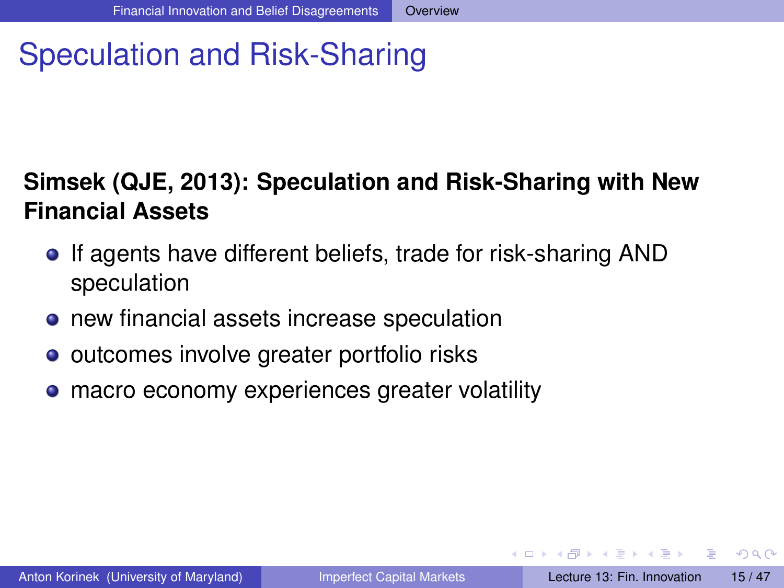# Speculation and Risk-Sharing

## **Simsek (QJE, 2013): Speculation and Risk-Sharing with New Financial Assets**

- If agents have different beliefs, trade for risk-sharing AND speculation
- **•** new financial assets increase speculation
- outcomes involve greater portfolio risks
- macro economy experiences greater volatility  $\bullet$

<span id="page-14-0"></span> $\Omega$ 

イロト イ押 トイラト イラト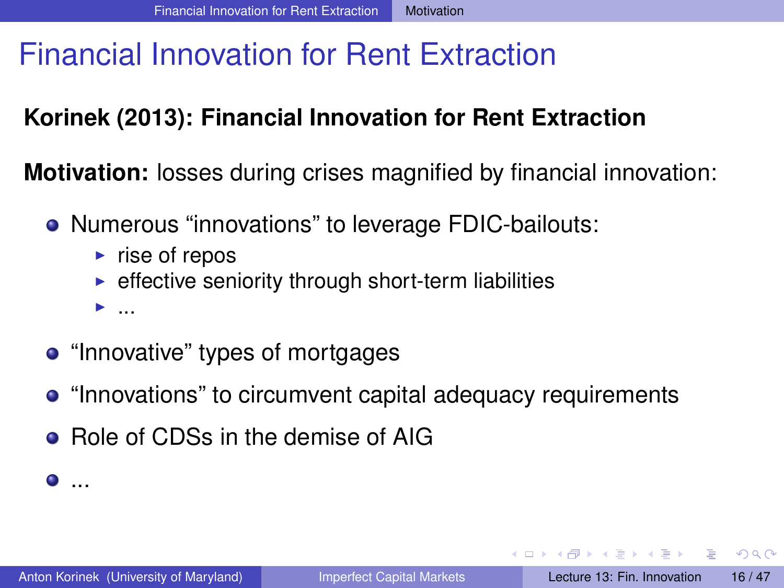# Financial Innovation for Rent Extraction

## **Korinek (2013): Financial Innovation for Rent Extraction**

**Motivation:** losses during crises magnified by financial innovation:

- Numerous "innovations" to leverage FDIC-bailouts:
	- $\triangleright$  rise of repos
	- $\triangleright$  effective seniority through short-term liabilities

 $\blacktriangleright$  ...

- "Innovative" types of mortgages
- "Innovations" to circumvent capital adequacy requirements
- Role of CDSs in the demise of AIG

 $\bullet$  . . .

D.

<span id="page-15-0"></span> $\Omega$ 

イロメ イ何 メラモ メラメー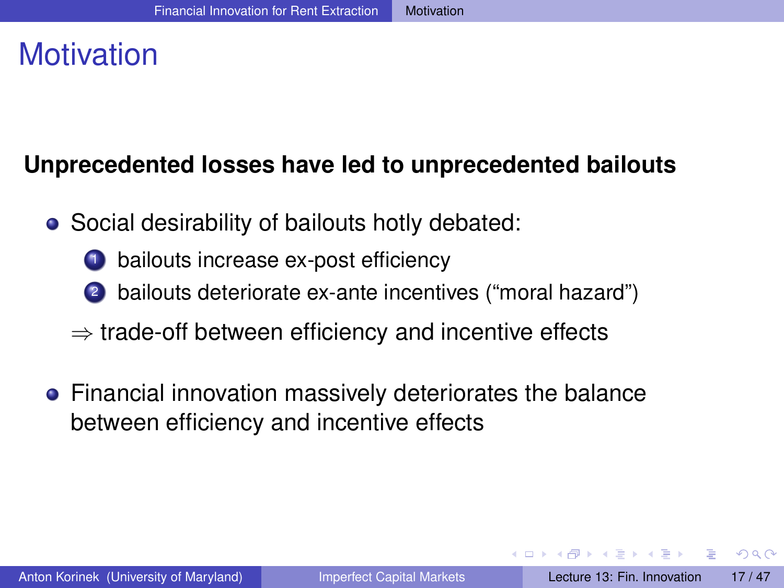# **Motivation**

## **Unprecedented losses have led to unprecedented bailouts**

- Social desirability of bailouts hotly debated:
	- bailouts increase ex-post efficiency
	- <sup>2</sup> bailouts deteriorate ex-ante incentives ("moral hazard")
	- $\Rightarrow$  trade-off between efficiency and incentive effects
- Financial innovation massively deteriorates the balance between efficiency and incentive effects

<span id="page-16-0"></span> $\Omega$ 

イロ トラ 河 トラ モトラ モト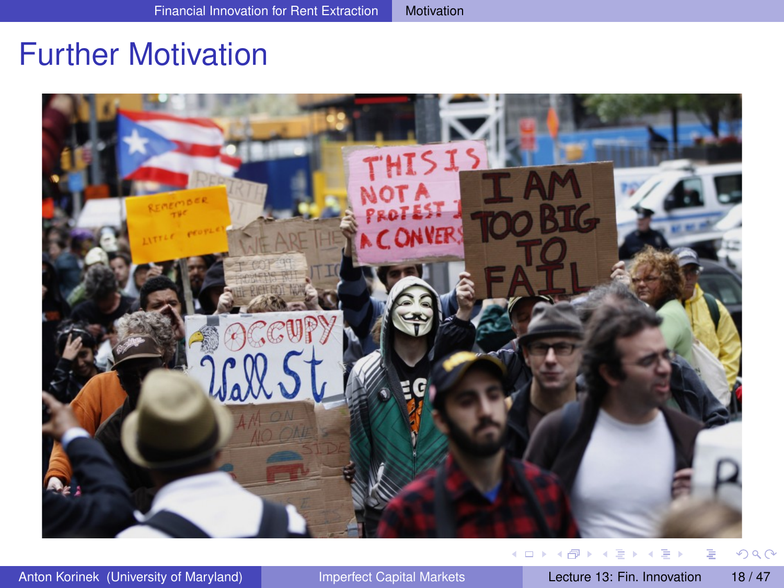## Further Motivation



<span id="page-17-0"></span>

Anton Korinek (University of Maryland) [Imperfect Capital Markets](#page-0-0) Lecture 13: Fin. Innovation 18/47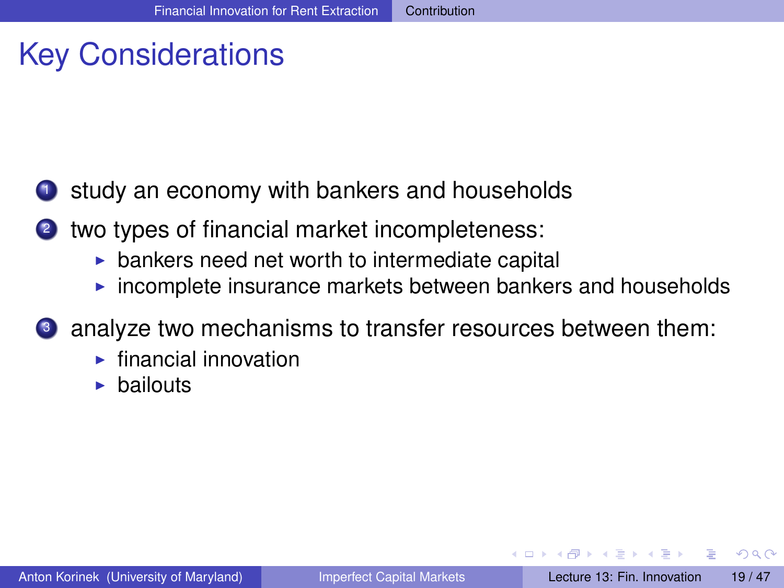# Key Considerations

- <sup>1</sup> study an economy with bankers and households
- <sup>2</sup> two types of financial market incompleteness:
	- $\triangleright$  bankers need net worth to intermediate capital
	- $\triangleright$  incomplete insurance markets between bankers and households
- <sup>3</sup> analyze two mechanisms to transfer resources between them:
	- $\blacktriangleright$  financial innovation
	- $\blacktriangleright$  bailouts

<span id="page-18-0"></span> $\Omega$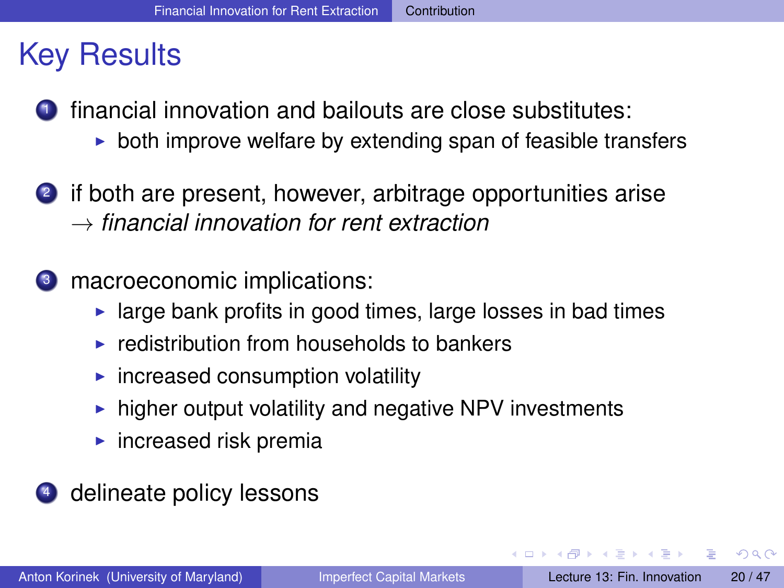## Key Results

- **1** financial innovation and bailouts are close substitutes:
	- $\triangleright$  both improve welfare by extending span of feasible transfers
- <sup>2</sup> if both are present, however, arbitrage opportunities arise → *financial innovation for rent extraction*
- <sup>3</sup> macroeconomic implications:
	- $\blacktriangleright$  large bank profits in good times, large losses in bad times
	- $\triangleright$  redistribution from households to bankers
	- $\blacktriangleright$  increased consumption volatility
	- $\triangleright$  higher output volatility and negative NPV investments
	- $\blacktriangleright$  increased risk premia
- <sup>4</sup> delineate policy lessons

<span id="page-19-0"></span> $\Omega$ 

イロメ イ何メ イモメノモメ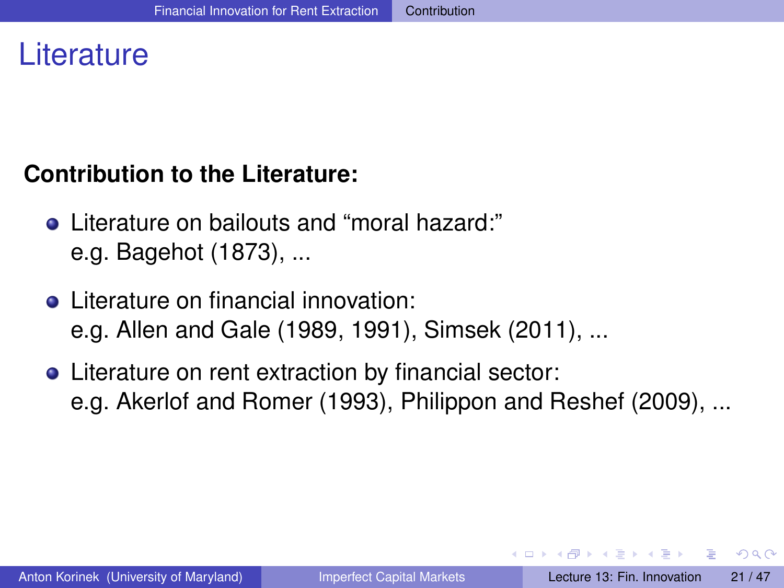## **Literature**

#### **Contribution to the Literature:**

- Literature on bailouts and "moral hazard:" e.g. Bagehot (1873), ...
- Literature on financial innovation: e.g. Allen and Gale (1989, 1991), Simsek (2011), ...
- Literature on rent extraction by financial sector: e.g. Akerlof and Romer (1993), Philippon and Reshef (2009), ...

<span id="page-20-0"></span> $\Omega$ 

イロ トラ 河 トラ モ トラ モ トー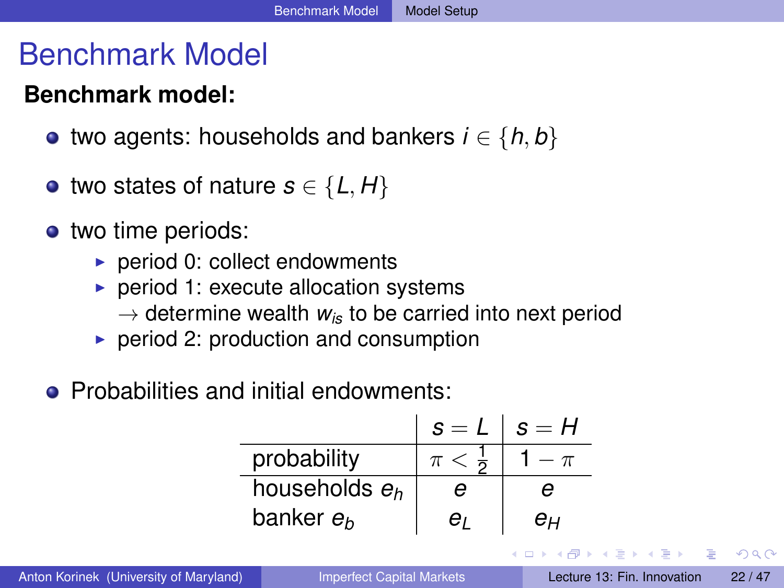## Benchmark Model

## **Benchmark model:**

- $\bullet$  two agents: households and bankers *i* ∈ {*h*, *b*}
- two states of nature  $s \in \{L, H\}$
- two time periods:
	- $\blacktriangleright$  period 0: collect endowments
	- $\triangleright$  period 1: execute allocation systems
		- $\rightarrow$  determine wealth  $w_{is}$  to be carried into next period
	- $\triangleright$  period 2: production and consumption
- **Probabilities and initial endowments:**

|                       | $s = L$             | $s = H$ |
|-----------------------|---------------------|---------|
| probability           | $\pi < \frac{1}{2}$ |         |
| households $e_h$      | e                   | e       |
| banker e <sub>h</sub> | eı                  | eц      |

<span id="page-21-0"></span> $\Omega$ 

イロメ イ押メ イヨメ イヨメー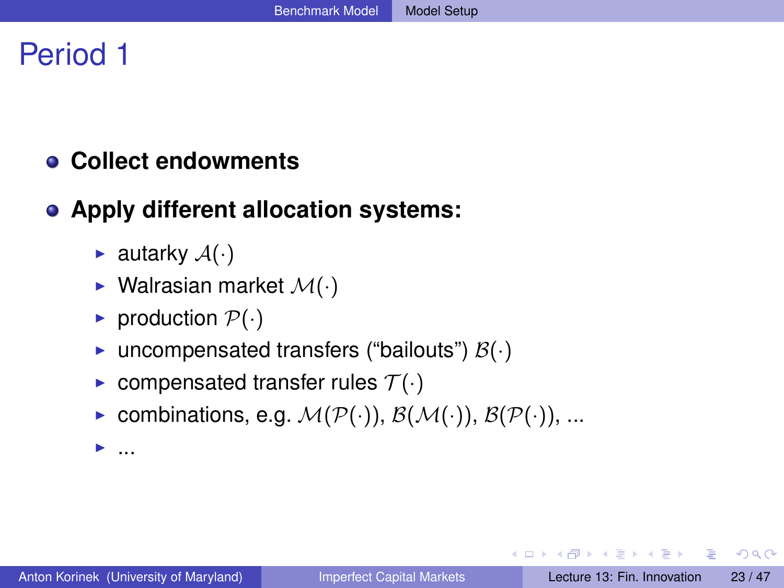## Period 1

#### **Collect endowments**

#### **Apply different allocation systems:**

- **E** autarky  $A(\cdot)$
- $\blacktriangleright$  Walrasian market  $\mathcal{M}(\cdot)$
- production  $\mathcal{P}(\cdot)$
- **In** uncompensated transfers ("bailouts")  $\mathcal{B}(\cdot)$
- compensated transfer rules  $\mathcal{T}(\cdot)$
- ▶ combinations, e.g.  $\mathcal{M}(\mathcal{P}(\cdot)), \mathcal{B}(\mathcal{M}(\cdot)), \mathcal{B}(\mathcal{P}(\cdot)), ...$

 $\blacktriangleright$  ...

в

<span id="page-22-0"></span> $\Omega$ 

イロト イ押ト イヨト イヨトー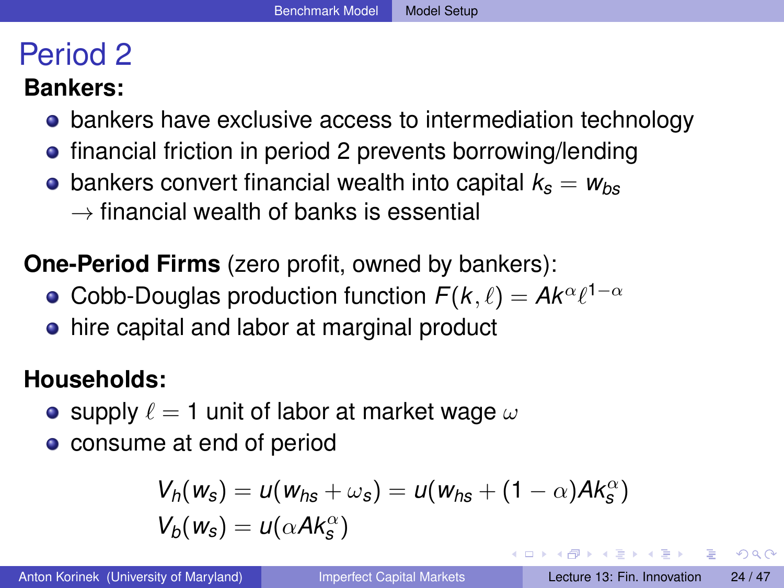## Period 2

#### **Bankers:**

- bankers have exclusive access to intermediation technology
- **•** financial friction in period 2 prevents borrowing/lending
- bankers convert financial wealth into capital  $k_s = w_{bs}$  $\rightarrow$  financial wealth of banks is essential

**One-Period Firms** (zero profit, owned by bankers):

- Cobb-Douglas production function  $F(k,\ell) = A k^{\alpha}\ell^{1-\alpha}$
- hire capital and labor at marginal product

## **Households:**

- supply  $\ell = 1$  unit of labor at market wage  $\omega$
- consume at end of period

$$
V_h(w_s) = u(w_{hs} + \omega_s) = u(w_{hs} + (1 - \alpha)Ak_s^{\alpha})
$$
  

$$
V_b(w_s) = u(\alpha Ak_s^{\alpha})
$$

в

<span id="page-23-0"></span> $\Omega$ 

4 0 8 4 6 8 4 9 8 4 9 8 1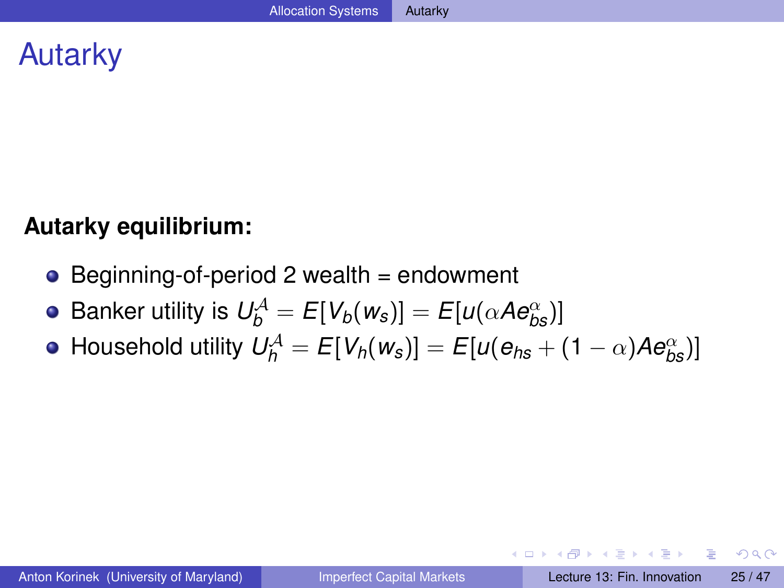## Autarky

#### **Autarky equilibrium:**

- Beginning-of-period 2 wealth = endowment
- $\mathsf{B}$ anker utility is  $\mathsf{U}_{b}^{\mathcal{A}}=\mathsf{E}[V_{b}(w_{s})]=\mathsf{E}[u(\alpha\mathcal{A}e_{bs}^{\alpha})]$
- $H$ ousehold utility  $U_h^{\mathcal{A}} = E[V_h(w_s)] = E[u(e_{hs} + (1-\alpha)Ae_{bs}^{\alpha})]$

 $\equiv$ 

<span id="page-24-0"></span> $\Omega$ 

イロト イ押ト イヨト イヨト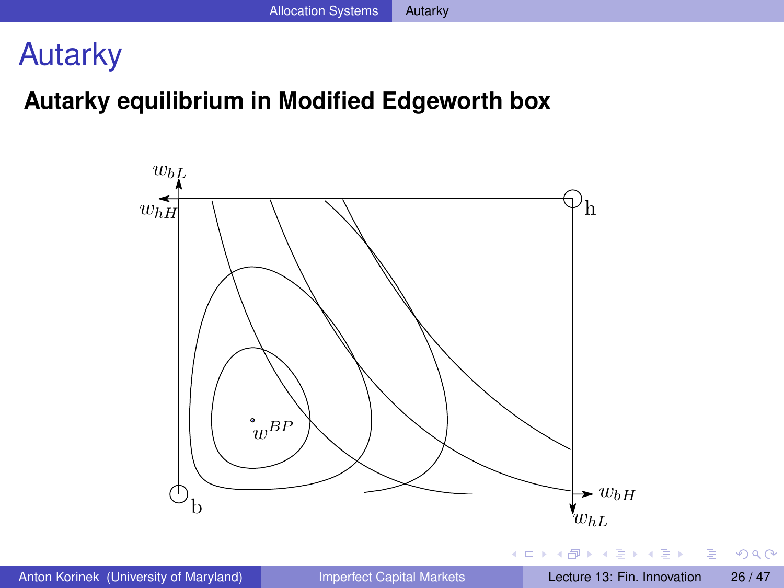## Autarky

## **Autarky equilibrium in Modified Edgeworth box**



E

<span id="page-25-0"></span> $299$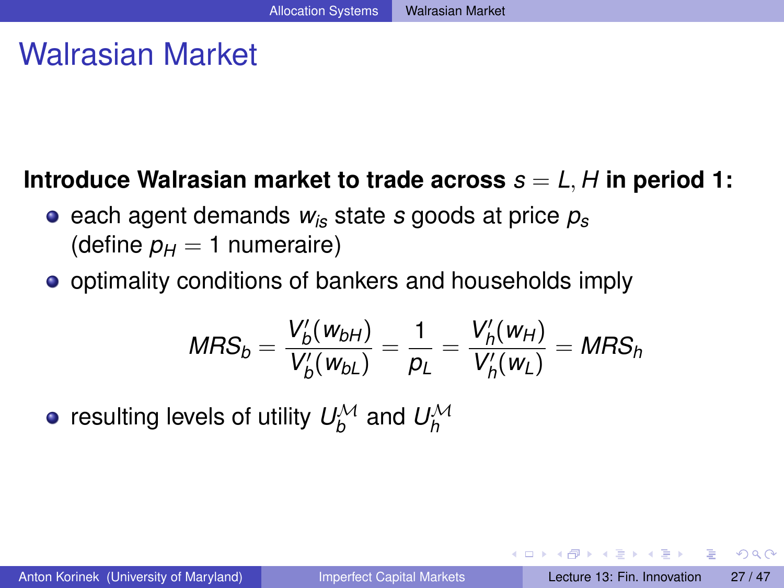## Walrasian Market

## **Introduce Walrasian market to trade across**  $s = L, H$  in period 1:

- $\bullet$  each agent demands  $w_{is}$  state *s* goods at price  $p_s$ (define  $p_H = 1$  numeraire)
- optimality conditions of bankers and households imply

$$
MRS_b = \frac{V_b'(w_{bH})}{V_b'(w_{bL})} = \frac{1}{p_L} = \frac{V_h'(w_{H})}{V_h'(w_{L})} = MRS_h
$$

resulting levels of utility  $\mathit{U}^{\mathcal{M}}_{b}$  and  $\mathit{U}^{\mathcal{M}}_{h}$ 

<span id="page-26-0"></span> $\Omega$ 

イロメ イ何 メラモ メラメー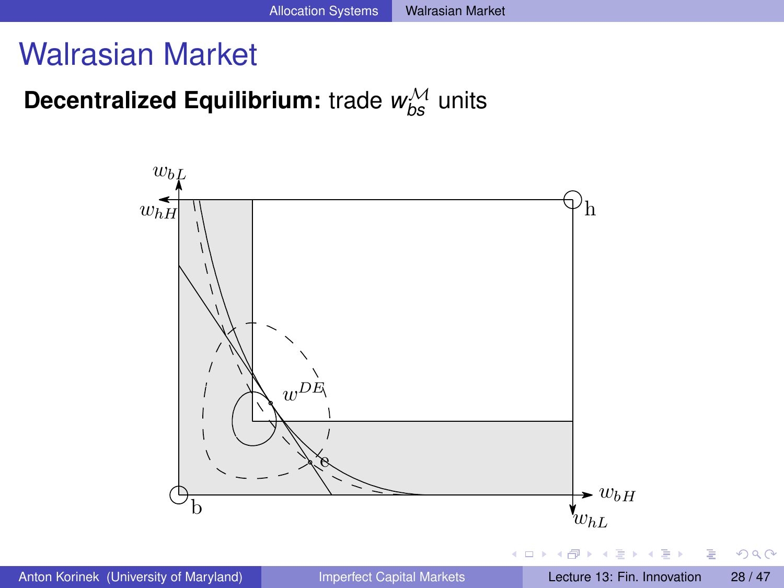## Walrasian Market

# **Decentralized Equilibrium:** trade  $w_{bs}^{\mathcal{M}}$  units



<span id="page-27-0"></span> $QQ$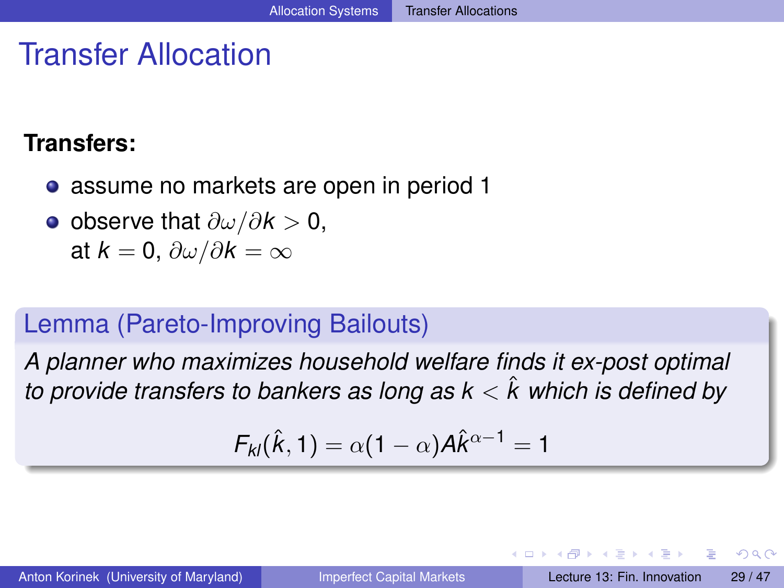## Transfer Allocation

#### **Transfers:**

- assume no markets are open in period 1
- observe that ∂ω/∂*k* > 0, at  $k = 0$ ,  $\partial \omega / \partial k = \infty$

## Lemma (Pareto-Improving Bailouts)

*A planner who maximizes household welfare finds it ex-post optimal to provide transfers to bankers as long as*  $k < \hat{k}$  *which is defined by* 

$$
F_{kl}(\hat{k},1) = \alpha(1-\alpha)A\hat{k}^{\alpha-1} = 1
$$

<span id="page-28-0"></span> $\Omega$ 

イロト イ押 トイラト イラト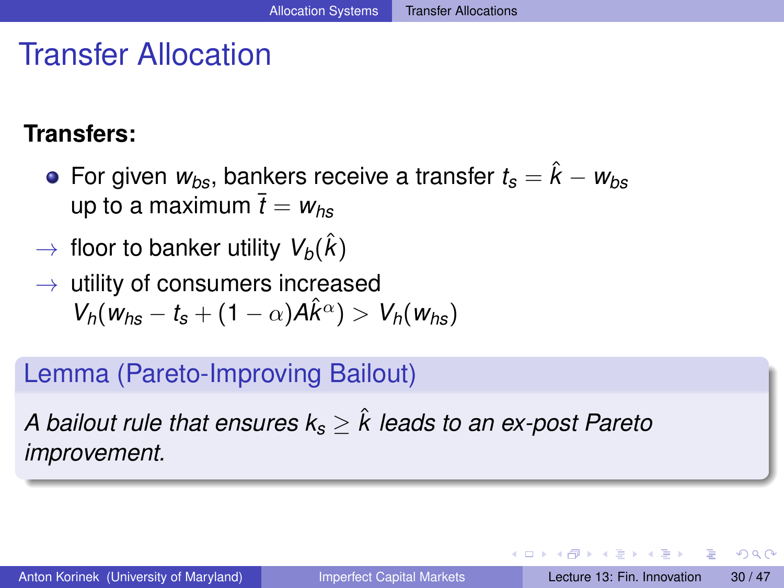## Transfer Allocation

## **Transfers:**

- **•** For given  $w_{bs}$ , bankers receive a transfer  $t_s = \hat{k} w_{bs}$ up to a maximum  $\bar{t} = w_{he}$
- $\rightarrow$  floor to banker utility  $V_b(\hat{k})$
- $\rightarrow$  utility of consumers increased  $V_h(w_{hs} - t_s + (1 - \alpha)A\hat{k}^{\alpha}) > V_h(w_{hs})$

## Lemma (Pareto-Improving Bailout)

*A bailout rule that ensures k<sup>s</sup>* ≥ ˆ*k leads to an ex-post Pareto improvement.*

<span id="page-29-0"></span> $\Omega$ 

イロ トラ 河 トラ モ トラ モ ト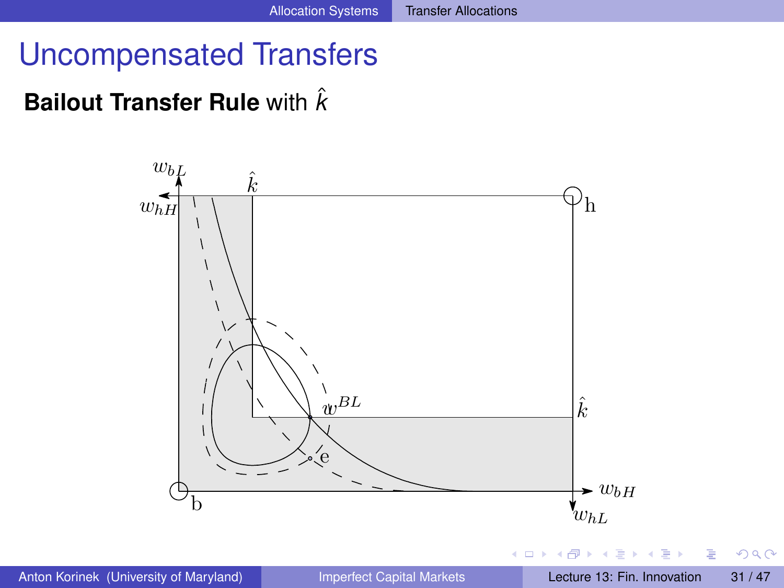## Uncompensated Transfers

## **Bailout Transfer Rule** with  $\hat{k}$



<span id="page-30-0"></span> $QQ$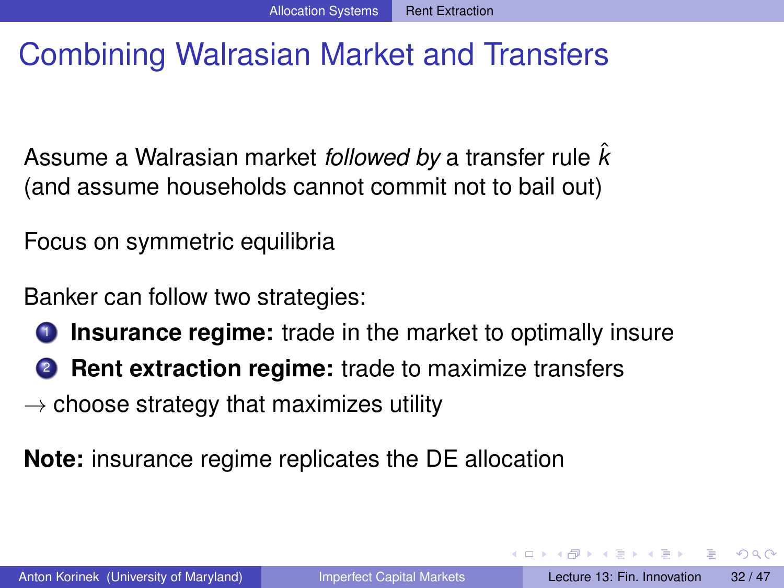# Combining Walrasian Market and Transfers

Assume a Walrasian market *followed by* a transfer rule ˆ*k* (and assume households cannot commit not to bail out)

Focus on symmetric equilibria

Banker can follow two strategies:

- **Insurance regime:** trade in the market to optimally insure
- <sup>2</sup> **Rent extraction regime:** trade to maximize transfers

 $\rightarrow$  choose strategy that maximizes utility

**Note:** insurance regime replicates the DE allocation

<span id="page-31-0"></span> $\Omega$ 

イロメ イ何 メラモメラ モメー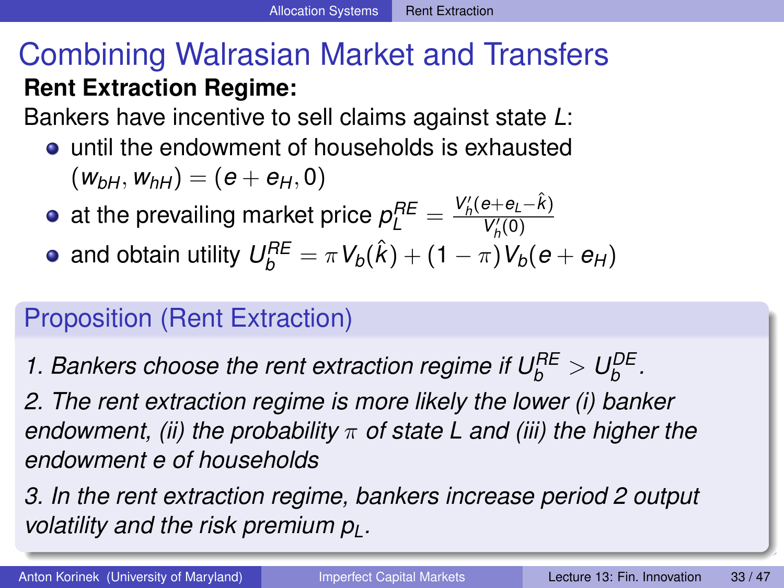# Combining Walrasian Market and Transfers **Rent Extraction Regime:**

Bankers have incentive to sell claims against state *L*:

- until the endowment of households is exhausted  $(W_{bH}, W_{bH}) = (e + e_{H}, 0)$
- at the prevailing market price  $\rho^{RE}_L = \frac{V'_h(e+e_L-\hat{k})}{V'_h(0)}$  $V_h'(0)$
- and obtain utility  $U_b^{RE} = \pi V_b(\hat{k}) + (1 \pi)V_b(e + e_H)$

## Proposition (Rent Extraction)

*1. Bankers choose the rent extraction regime if*  $U_b^{BE} > U_b^{DE}$ *.* 

*2. The rent extraction regime is more likely the lower (i) banker endowment, (ii) the probability* π *of state L and (iii) the higher the endowment e of households*

*3. In the rent extraction regime, bankers increase period 2 output volatility and the risk premium pL.*

<span id="page-32-0"></span>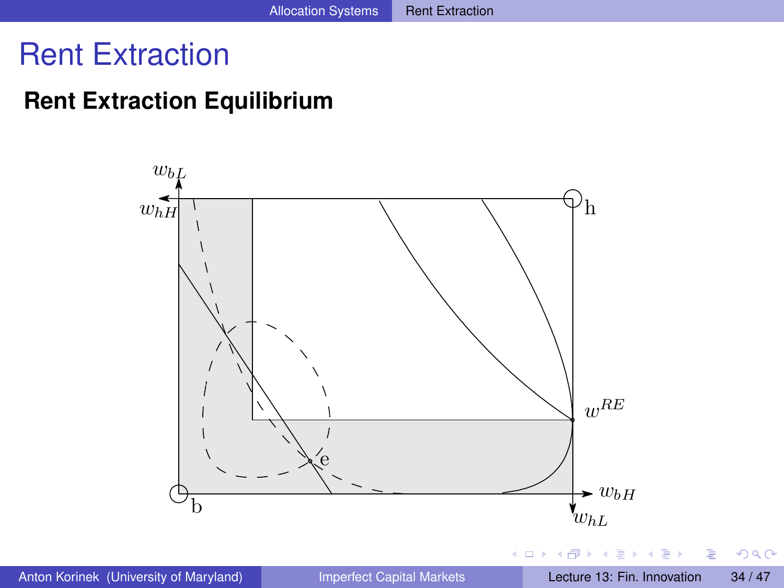## Rent Extraction

#### **Rent Extraction Equilibrium**



Þ

<span id="page-33-0"></span> $QQ$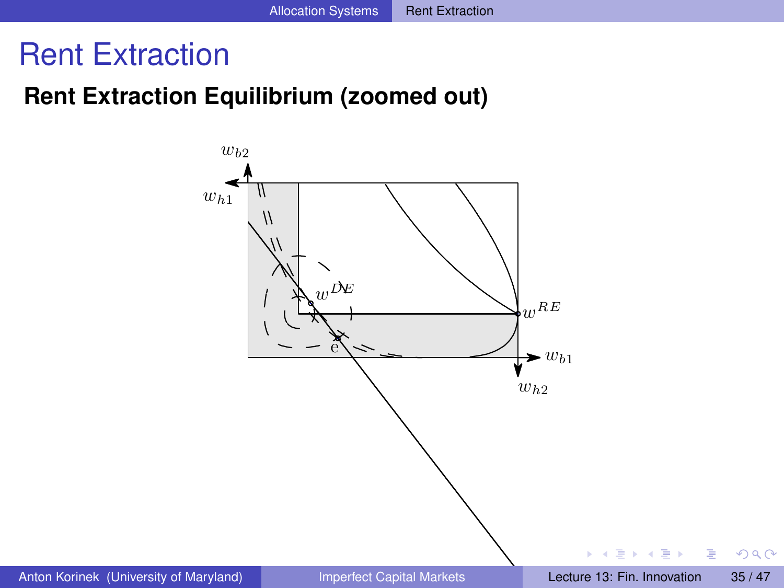## Rent Extraction

#### **Rent Extraction Equilibrium (zoomed out)**



<span id="page-34-0"></span> $QQ$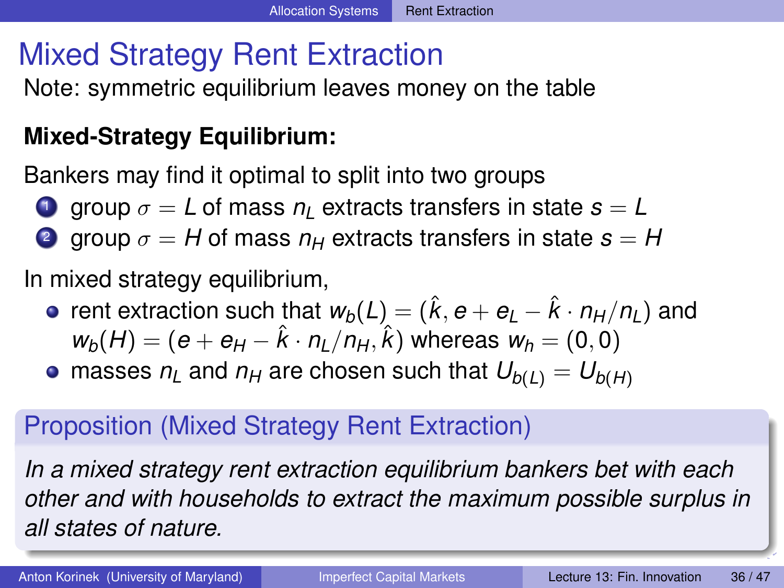# Mixed Strategy Rent Extraction

Note: symmetric equilibrium leaves money on the table

## **Mixed-Strategy Equilibrium:**

Bankers may find it optimal to split into two groups

- **1** group  $\sigma = L$  of mass  $n_l$  extracts transfers in state  $s = L$
- **2** group  $\sigma = H$  of mass  $n_H$  extracts transfers in state  $s = H$

In mixed strategy equilibrium,

- rent extraction such that  $w_b(L) = (\hat{k}, e + e_L \hat{k} \cdot n_H/n_I)$  and  $w_b(H) = (e + e_H - \hat{k} \cdot n_L/n_H, \hat{k})$  whereas  $w_h = (0, 0)$
- masses  $n_l$  and  $n_H$  are chosen such that  $U_{b(l)} = U_{b(H)}$

## Proposition (Mixed Strategy Rent Extraction)

*In a mixed strategy rent extraction equilibrium bankers bet with each other and with households to extract the maximum possible surplus in all states of nature.*

<span id="page-35-0"></span>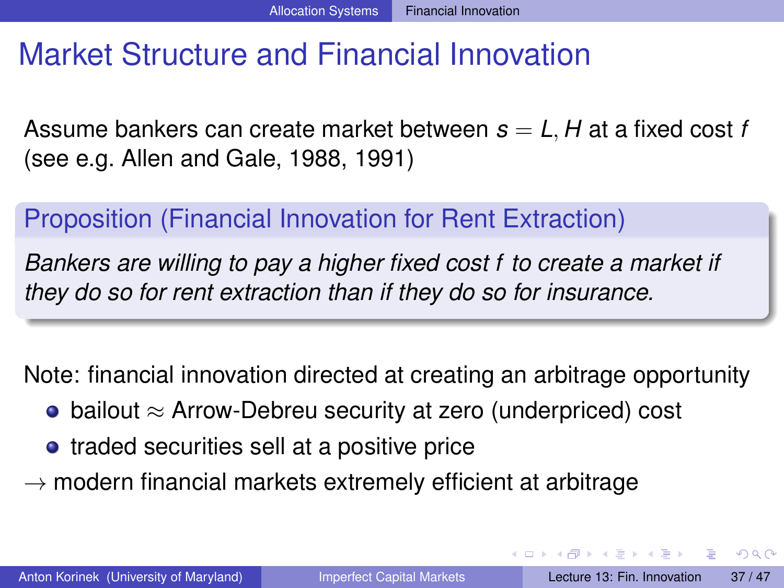## Market Structure and Financial Innovation

Assume bankers can create market between *s* = *L*, *H* at a fixed cost *f* (see e.g. Allen and Gale, 1988, 1991)

## Proposition (Financial Innovation for Rent Extraction)

*Bankers are willing to pay a higher fixed cost f to create a market if they do so for rent extraction than if they do so for insurance.*

Note: financial innovation directed at creating an arbitrage opportunity

- bailout  $\approx$  Arrow-Debreu security at zero (underpriced) cost
- traded securities sell at a positive price
- $\rightarrow$  modern financial markets extremely efficient at arbitrage

<span id="page-36-0"></span> $\Omega$ 

イロト イ押 トイラト イラト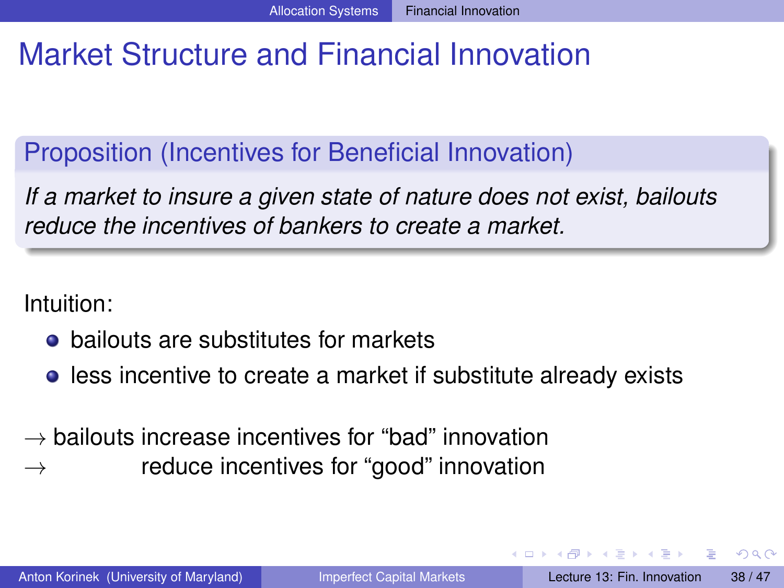# Market Structure and Financial Innovation

Proposition (Incentives for Beneficial Innovation)

*If a market to insure a given state of nature does not exist, bailouts reduce the incentives of bankers to create a market.*

Intuition:

- bailouts are substitutes for markets
- **•** less incentive to create a market if substitute already exists
- $\rightarrow$  bailouts increase incentives for "bad" innovation  $\rightarrow$  reduce incentives for "good" innovation

<span id="page-37-0"></span> $\Omega$ 

**All The South The**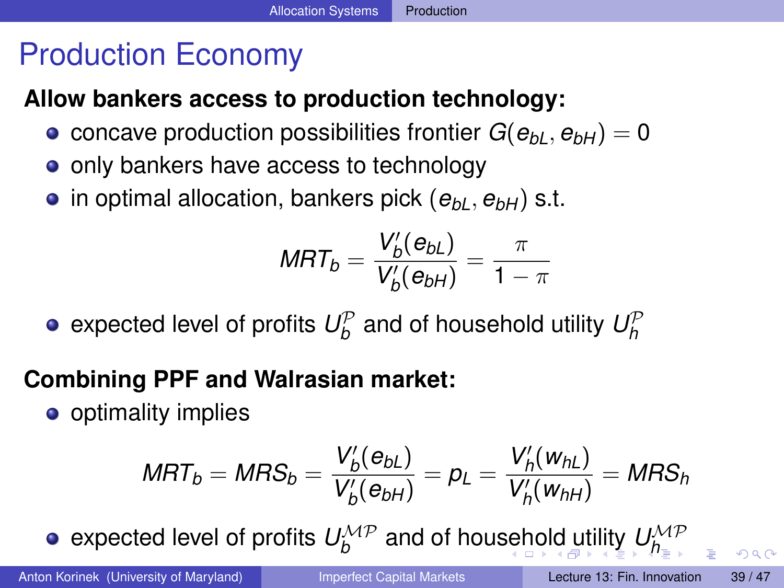# Production Economy

## **Allow bankers access to production technology:**

- concave production possibilities frontier  $G(e_{bl}, e_{bH}) = 0$
- only bankers have access to technology
- $\bullet$  in optimal allocation, bankers pick  $(e_{bL}, e_{bH})$  s.t.

$$
\mathit{MRT}_b = \frac{V_b'(e_{bL})}{V_b'(e_{bH})} = \frac{\pi}{1-\pi}
$$

expected level of profits  $U_b^{\mathcal{P}}$  and of household utility  $U_h^{\mathcal{P}}$ 

## **Combining PPF and Walrasian market:**

**o** optimality implies

$$
MRT_b = MRS_b = \frac{V_b'(e_{bL})}{V_b'(e_{bH})} = p_L = \frac{V_h'(w_{hL})}{V_h'(w_{hH})} = MRS_h
$$

expecte[d](#page-37-0) level of profi[t](#page-38-0)s  $U^{\mathcal{MP}}_b$  $U^{\mathcal{MP}}_b$  $U^{\mathcal{MP}}_b$  $U^{\mathcal{MP}}_b$  and of hou[seh](#page-37-0)[ol](#page-39-0)d [u](#page-38-0)[ti](#page-39-0)[li](#page-37-0)t[y](#page-39-0)  $U^{\mathcal{MP}}_{h_{\mathbb{R}}}$ 

<span id="page-38-0"></span> $\Omega$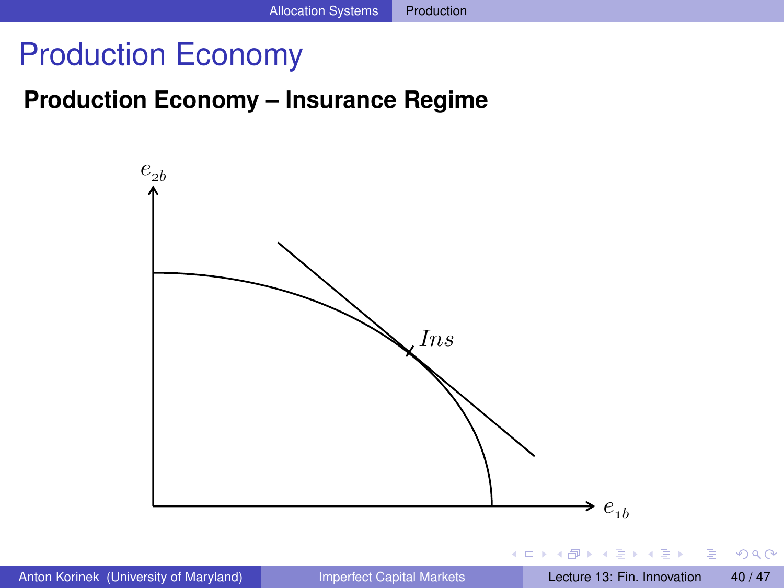## Production Economy

#### **Production Economy – Insurance Regime**



<span id="page-39-0"></span> $QQ$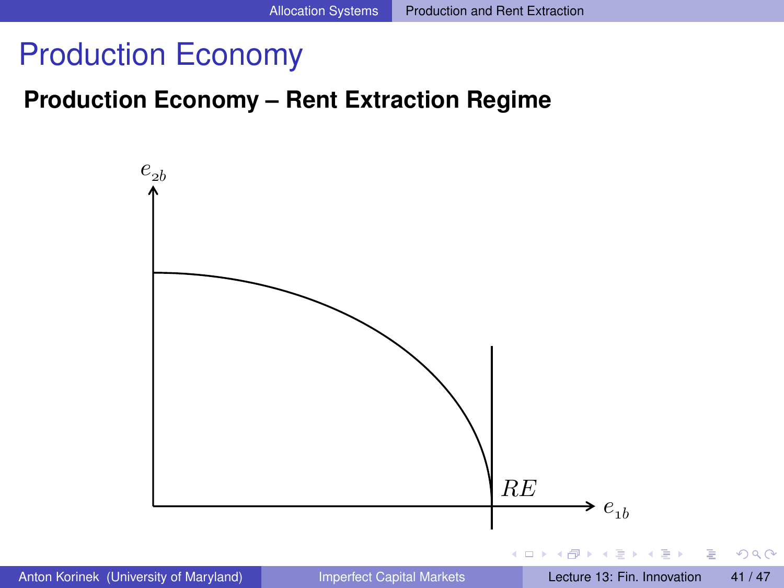## Production Economy

#### **Production Economy – Rent Extraction Regime**

<span id="page-40-0"></span>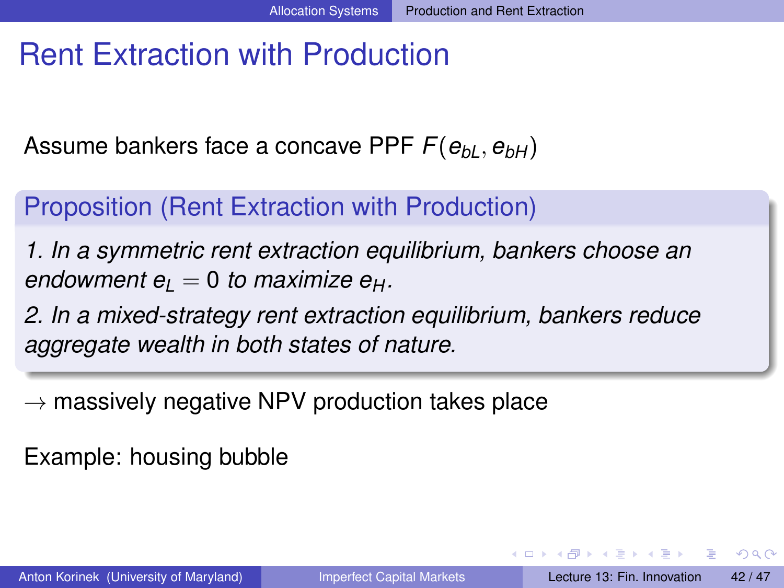# Rent Extraction with Production

Assume bankers face a concave PPF  $F(e_{bl}, e_{bH})$ 

## Proposition (Rent Extraction with Production)

*1. In a symmetric rent extraction equilibrium, bankers choose an endowment*  $e_l = 0$  *to maximize*  $e_H$ *.* 

*2. In a mixed-strategy rent extraction equilibrium, bankers reduce aggregate wealth in both states of nature.*

 $\rightarrow$  massively negative NPV production takes place

Example: housing bubble

<span id="page-41-0"></span> $\Omega$ 

4 0 8 4 6 8 4 9 8 4 9 8 1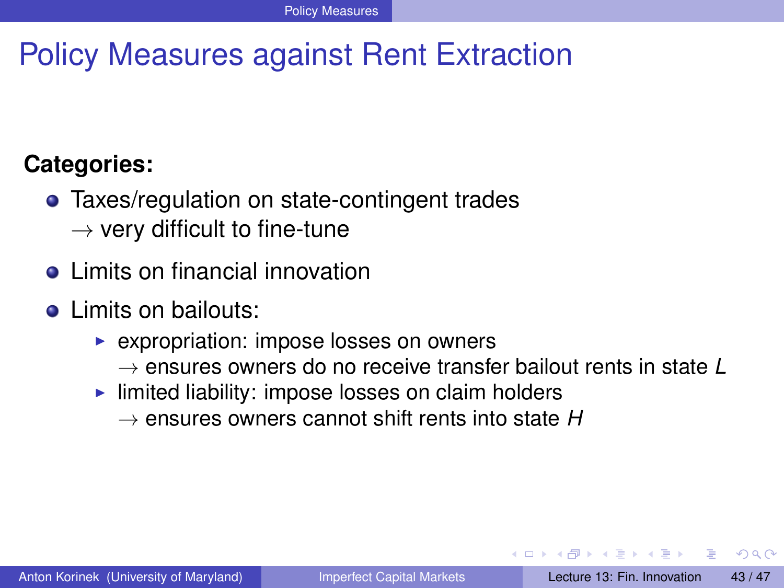# Policy Measures against Rent Extraction

## **Categories:**

- Taxes/regulation on state-contingent trades
	- $\rightarrow$  very difficult to fine-tune
- **o** Limits on financial innovation
- **o** Limits on bailouts:
	- $\triangleright$  expropriation: impose losses on owners
		- → ensures owners do no receive transfer bailout rents in state *L*
	- $\blacktriangleright$  limited liability: impose losses on claim holders
		- $\rightarrow$  ensures owners cannot shift rents into state  $H$

<span id="page-42-0"></span> $\Omega$ 

**All The South The**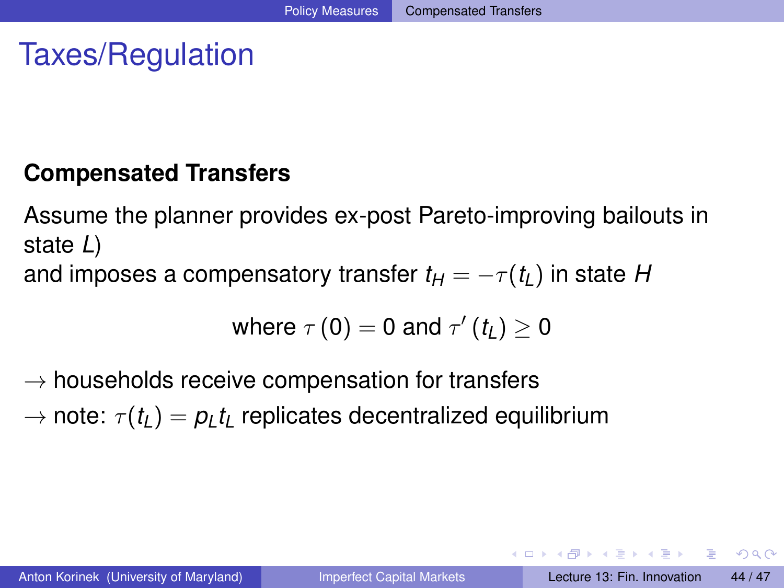# Taxes/Regulation

#### **Compensated Transfers**

Assume the planner provides ex-post Pareto-improving bailouts in state *L*) and imposes a compensatory transfer  $t_H = -\tau(t_I)$  in state *H* 

where 
$$
\tau(0) = 0
$$
 and  $\tau'(t_L) \ge 0$ 

 $\rightarrow$  households receive compensation for transfers

 $\rightarrow$  note:  $\tau(t_l) = p_l t_l$  replicates decentralized equilibrium

<span id="page-43-0"></span> $\Omega$ 

イロト イ押ト イヨト イヨトー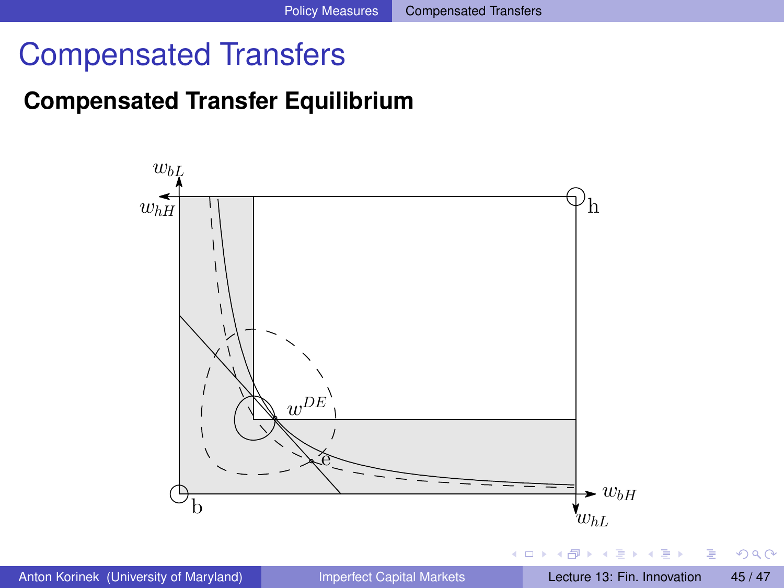## Compensated Transfers

## **Compensated Transfer Equilibrium**



<span id="page-44-0"></span> $QQ$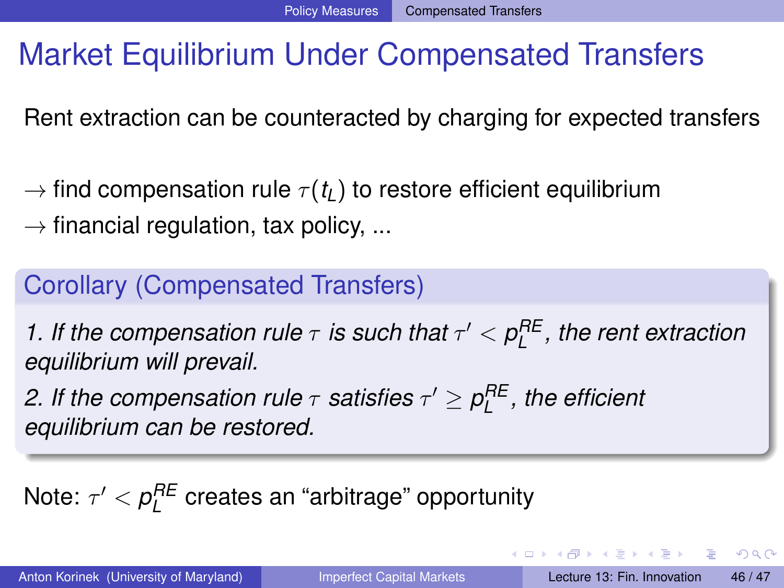# Market Equilibrium Under Compensated Transfers

Rent extraction can be counteracted by charging for expected transfers

- $\rightarrow$  find compensation rule  $\tau(t_L)$  to restore efficient equilibrium
- $\rightarrow$  financial regulation, tax policy, ...

## Corollary (Compensated Transfers)

*1. If the compensation rule*  $\tau$  *is such that*  $\tau' < \rho_L^{RE}$ , the rent extraction *equilibrium will prevail.*

2. If the compensation rule  $\tau$  satisfies  $\tau' \geq \rho_{\sf L}^{\sf RE}$  , the efficient *equilibrium can be restored.*

<span id="page-45-0"></span>Note:  $\tau' < \rho_L^{RE}$  creates an "arbitrage" opportunity